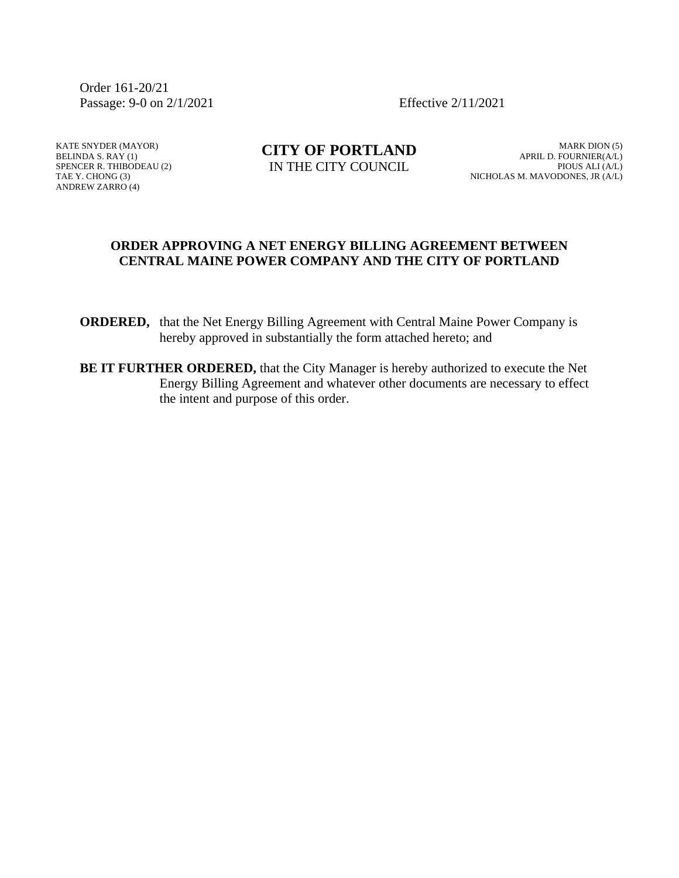Order 161-20/21 Passage: 9-0 on 2/1/2021 Effective 2/11/2021

KATE SNYDER (MAYOR) BELINDA S. RAY (1) SPENCER R. THIBODEAU (2) TAE Y. CHONG (3) ANDREW ZARRO (4)

**CITY OF PORTLAND** IN THE CITY COUNCIL

MARK DION (5) APRIL D. FOURNIER(A/L) PIOUS ALI (A/L) NICHOLAS M. MAVODONES, JR (A/L)

### **ORDER APPROVING A NET ENERGY BILLING AGREEMENT BETWEEN CENTRAL MAINE POWER COMPANY AND THE CITY OF PORTLAND**

**ORDERED,** that the Net Energy Billing Agreement with Central Maine Power Company is hereby approved in substantially the form attached hereto; and

**BE IT FURTHER ORDERED,** that the City Manager is hereby authorized to execute the Net Energy Billing Agreement and whatever other documents are necessary to effect the intent and purpose of this order.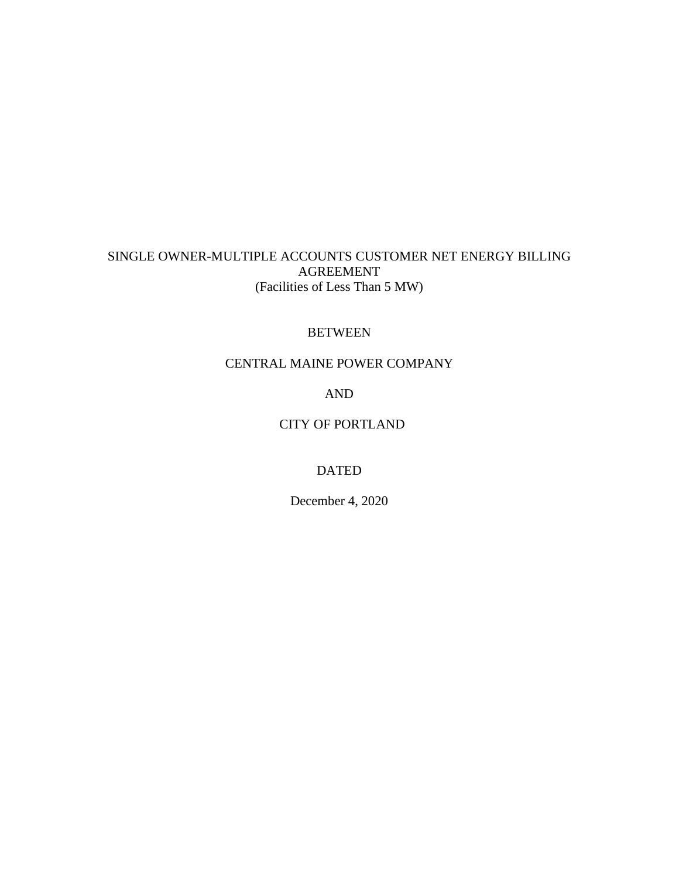# SINGLE OWNER-MULTIPLE ACCOUNTS CUSTOMER NET ENERGY BILLING AGREEMENT (Facilities of Less Than 5 MW)

# BETWEEN

# CENTRAL MAINE POWER COMPANY

AND

# CITY OF PORTLAND

# DATED

December 4, 2020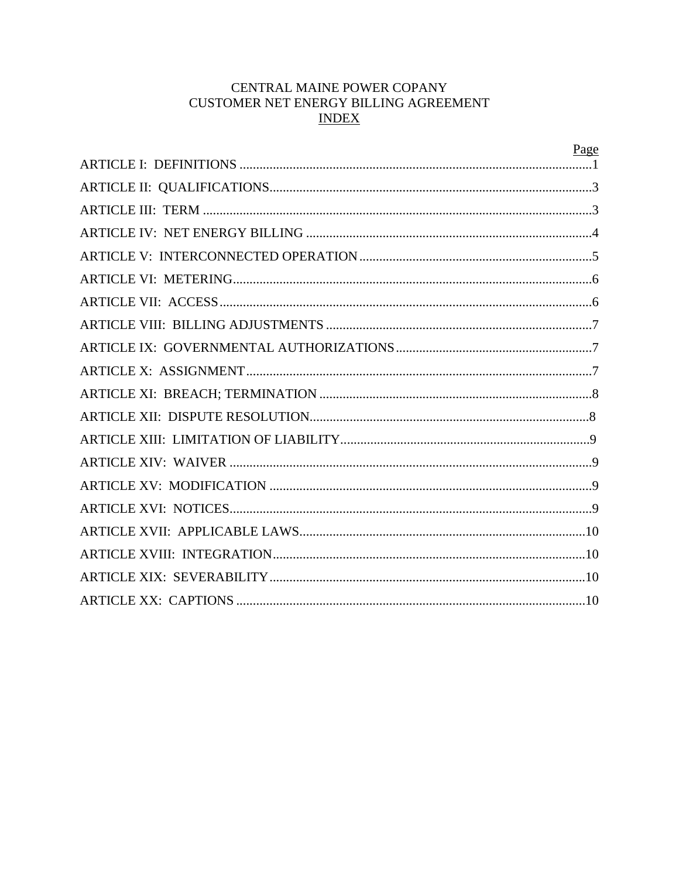# CENTRAL MAINE POWER COPANY CUSTOMER NET ENERGY BILLING AGREEMENT **INDEX**

| Page |
|------|
|      |
|      |
|      |
|      |
|      |
|      |
|      |
|      |
|      |
|      |
|      |
|      |
|      |
|      |
|      |
|      |
|      |
|      |
|      |
|      |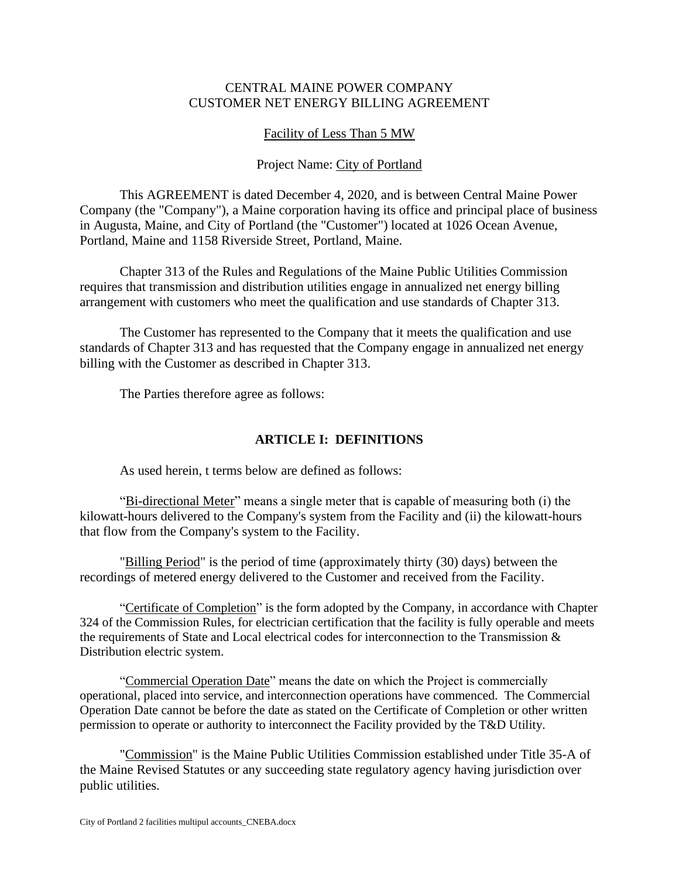# CENTRAL MAINE POWER COMPANY CUSTOMER NET ENERGY BILLING AGREEMENT

# Facility of Less Than 5 MW

# Project Name: City of Portland

This AGREEMENT is dated December 4, 2020, and is between Central Maine Power Company (the "Company"), a Maine corporation having its office and principal place of business in Augusta, Maine, and City of Portland (the "Customer") located at 1026 Ocean Avenue, Portland, Maine and 1158 Riverside Street, Portland, Maine.

Chapter 313 of the Rules and Regulations of the Maine Public Utilities Commission requires that transmission and distribution utilities engage in annualized net energy billing arrangement with customers who meet the qualification and use standards of Chapter 313.

The Customer has represented to the Company that it meets the qualification and use standards of Chapter 313 and has requested that the Company engage in annualized net energy billing with the Customer as described in Chapter 313.

The Parties therefore agree as follows:

# **ARTICLE I: DEFINITIONS**

As used herein, t terms below are defined as follows:

"Bi-directional Meter" means a single meter that is capable of measuring both (i) the kilowatt-hours delivered to the Company's system from the Facility and (ii) the kilowatt-hours that flow from the Company's system to the Facility.

"Billing Period" is the period of time (approximately thirty (30) days) between the recordings of metered energy delivered to the Customer and received from the Facility.

"Certificate of Completion" is the form adopted by the Company, in accordance with Chapter 324 of the Commission Rules, for electrician certification that the facility is fully operable and meets the requirements of State and Local electrical codes for interconnection to the Transmission & Distribution electric system.

"Commercial Operation Date" means the date on which the Project is commercially operational, placed into service, and interconnection operations have commenced. The Commercial Operation Date cannot be before the date as stated on the Certificate of Completion or other written permission to operate or authority to interconnect the Facility provided by the T&D Utility.

"Commission" is the Maine Public Utilities Commission established under Title 35-A of the Maine Revised Statutes or any succeeding state regulatory agency having jurisdiction over public utilities.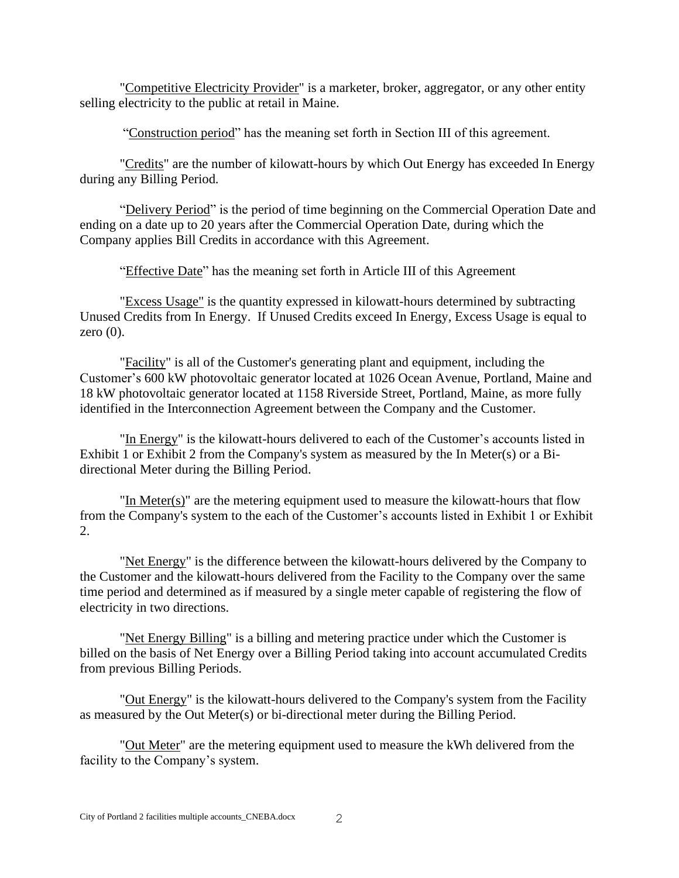"Competitive Electricity Provider" is a marketer, broker, aggregator, or any other entity selling electricity to the public at retail in Maine.

"Construction period" has the meaning set forth in Section III of this agreement.

"Credits" are the number of kilowatt-hours by which Out Energy has exceeded In Energy during any Billing Period.

"Delivery Period" is the period of time beginning on the Commercial Operation Date and ending on a date up to 20 years after the Commercial Operation Date, during which the Company applies Bill Credits in accordance with this Agreement.

"Effective Date" has the meaning set forth in Article III of this Agreement

"Excess Usage" is the quantity expressed in kilowatt-hours determined by subtracting Unused Credits from In Energy. If Unused Credits exceed In Energy, Excess Usage is equal to zero  $(0)$ .

"Facility" is all of the Customer's generating plant and equipment, including the Customer's 600 kW photovoltaic generator located at 1026 Ocean Avenue, Portland, Maine and 18 kW photovoltaic generator located at 1158 Riverside Street, Portland, Maine, as more fully identified in the Interconnection Agreement between the Company and the Customer.

"In Energy" is the kilowatt-hours delivered to each of the Customer's accounts listed in Exhibit 1 or Exhibit 2 from the Company's system as measured by the In Meter(s) or a Bidirectional Meter during the Billing Period.

"In Meter(s)" are the metering equipment used to measure the kilowatt-hours that flow from the Company's system to the each of the Customer's accounts listed in Exhibit 1 or Exhibit 2.

"Net Energy" is the difference between the kilowatt-hours delivered by the Company to the Customer and the kilowatt-hours delivered from the Facility to the Company over the same time period and determined as if measured by a single meter capable of registering the flow of electricity in two directions.

"Net Energy Billing" is a billing and metering practice under which the Customer is billed on the basis of Net Energy over a Billing Period taking into account accumulated Credits from previous Billing Periods.

"Out Energy" is the kilowatt-hours delivered to the Company's system from the Facility as measured by the Out Meter(s) or bi-directional meter during the Billing Period.

"Out Meter" are the metering equipment used to measure the kWh delivered from the facility to the Company's system.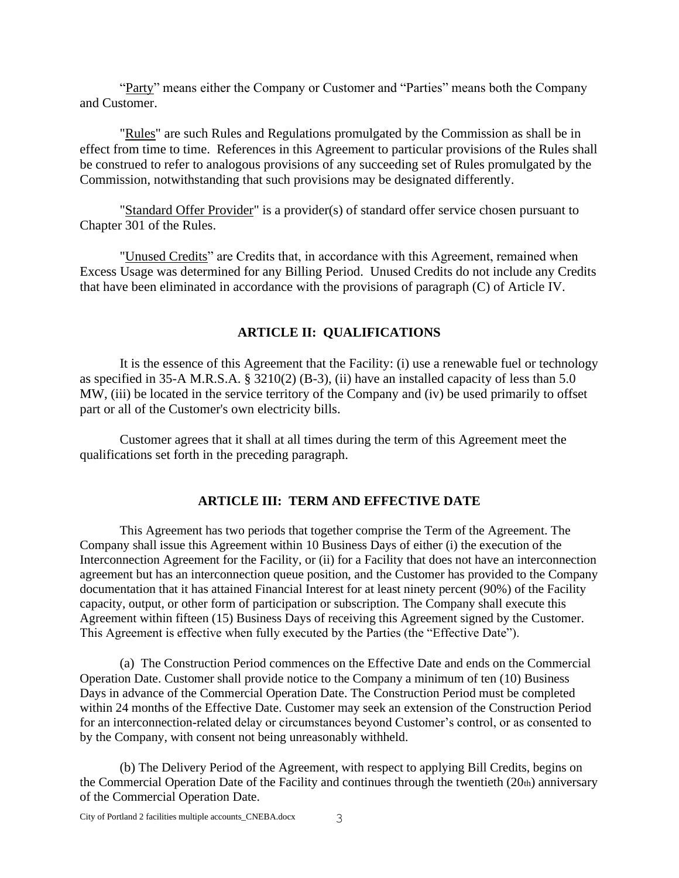"Party" means either the Company or Customer and "Parties" means both the Company and Customer.

"Rules" are such Rules and Regulations promulgated by the Commission as shall be in effect from time to time. References in this Agreement to particular provisions of the Rules shall be construed to refer to analogous provisions of any succeeding set of Rules promulgated by the Commission, notwithstanding that such provisions may be designated differently.

"Standard Offer Provider" is a provider(s) of standard offer service chosen pursuant to Chapter 301 of the Rules.

"Unused Credits" are Credits that, in accordance with this Agreement, remained when Excess Usage was determined for any Billing Period. Unused Credits do not include any Credits that have been eliminated in accordance with the provisions of paragraph (C) of Article IV.

### **ARTICLE II: QUALIFICATIONS**

It is the essence of this Agreement that the Facility: (i) use a renewable fuel or technology as specified in 35-A M.R.S.A. § 3210(2) (B-3), (ii) have an installed capacity of less than 5.0 MW, (iii) be located in the service territory of the Company and (iv) be used primarily to offset part or all of the Customer's own electricity bills.

Customer agrees that it shall at all times during the term of this Agreement meet the qualifications set forth in the preceding paragraph.

#### **ARTICLE III: TERM AND EFFECTIVE DATE**

This Agreement has two periods that together comprise the Term of the Agreement. The Company shall issue this Agreement within 10 Business Days of either (i) the execution of the Interconnection Agreement for the Facility, or (ii) for a Facility that does not have an interconnection agreement but has an interconnection queue position, and the Customer has provided to the Company documentation that it has attained Financial Interest for at least ninety percent (90%) of the Facility capacity, output, or other form of participation or subscription. The Company shall execute this Agreement within fifteen (15) Business Days of receiving this Agreement signed by the Customer. This Agreement is effective when fully executed by the Parties (the "Effective Date").

(a) The Construction Period commences on the Effective Date and ends on the Commercial Operation Date. Customer shall provide notice to the Company a minimum of ten (10) Business Days in advance of the Commercial Operation Date. The Construction Period must be completed within 24 months of the Effective Date. Customer may seek an extension of the Construction Period for an interconnection-related delay or circumstances beyond Customer's control, or as consented to by the Company, with consent not being unreasonably withheld.

(b) The Delivery Period of the Agreement, with respect to applying Bill Credits, begins on the Commercial Operation Date of the Facility and continues through the twentieth (20th) anniversary of the Commercial Operation Date.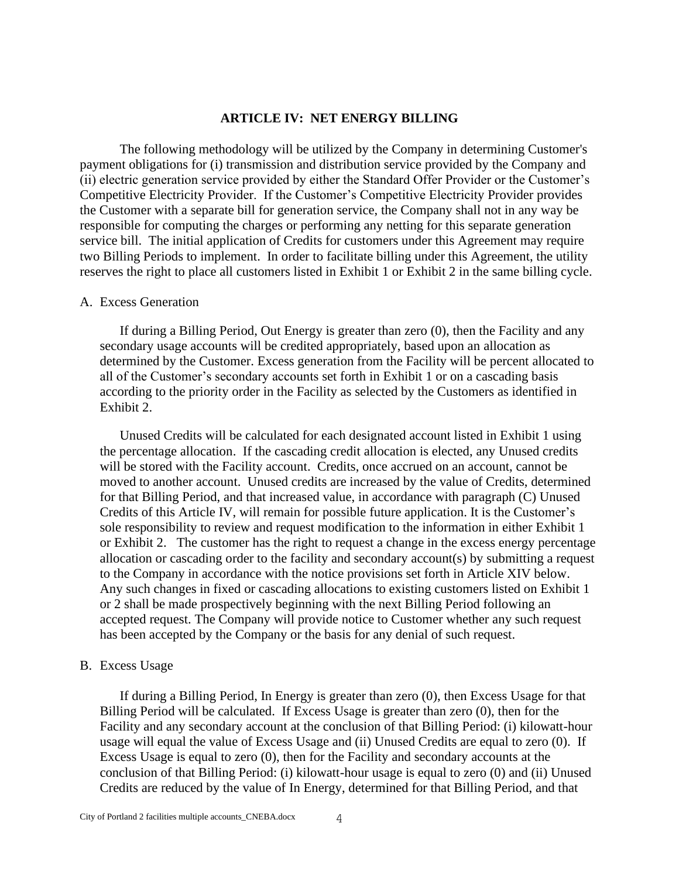#### **ARTICLE IV: NET ENERGY BILLING**

The following methodology will be utilized by the Company in determining Customer's payment obligations for (i) transmission and distribution service provided by the Company and (ii) electric generation service provided by either the Standard Offer Provider or the Customer's Competitive Electricity Provider. If the Customer's Competitive Electricity Provider provides the Customer with a separate bill for generation service, the Company shall not in any way be responsible for computing the charges or performing any netting for this separate generation service bill. The initial application of Credits for customers under this Agreement may require two Billing Periods to implement. In order to facilitate billing under this Agreement, the utility reserves the right to place all customers listed in Exhibit 1 or Exhibit 2 in the same billing cycle.

#### A. Excess Generation

If during a Billing Period, Out Energy is greater than zero (0), then the Facility and any secondary usage accounts will be credited appropriately, based upon an allocation as determined by the Customer. Excess generation from the Facility will be percent allocated to all of the Customer's secondary accounts set forth in Exhibit 1 or on a cascading basis according to the priority order in the Facility as selected by the Customers as identified in Exhibit 2.

Unused Credits will be calculated for each designated account listed in Exhibit 1 using the percentage allocation. If the cascading credit allocation is elected, any Unused credits will be stored with the Facility account. Credits, once accrued on an account, cannot be moved to another account. Unused credits are increased by the value of Credits, determined for that Billing Period, and that increased value, in accordance with paragraph (C) Unused Credits of this Article IV, will remain for possible future application. It is the Customer's sole responsibility to review and request modification to the information in either Exhibit 1 or Exhibit 2. The customer has the right to request a change in the excess energy percentage allocation or cascading order to the facility and secondary account(s) by submitting a request to the Company in accordance with the notice provisions set forth in Article XIV below. Any such changes in fixed or cascading allocations to existing customers listed on Exhibit 1 or 2 shall be made prospectively beginning with the next Billing Period following an accepted request. The Company will provide notice to Customer whether any such request has been accepted by the Company or the basis for any denial of such request.

#### B. Excess Usage

If during a Billing Period, In Energy is greater than zero (0), then Excess Usage for that Billing Period will be calculated. If Excess Usage is greater than zero (0), then for the Facility and any secondary account at the conclusion of that Billing Period: (i) kilowatt-hour usage will equal the value of Excess Usage and (ii) Unused Credits are equal to zero (0). If Excess Usage is equal to zero (0), then for the Facility and secondary accounts at the conclusion of that Billing Period: (i) kilowatt-hour usage is equal to zero (0) and (ii) Unused Credits are reduced by the value of In Energy, determined for that Billing Period, and that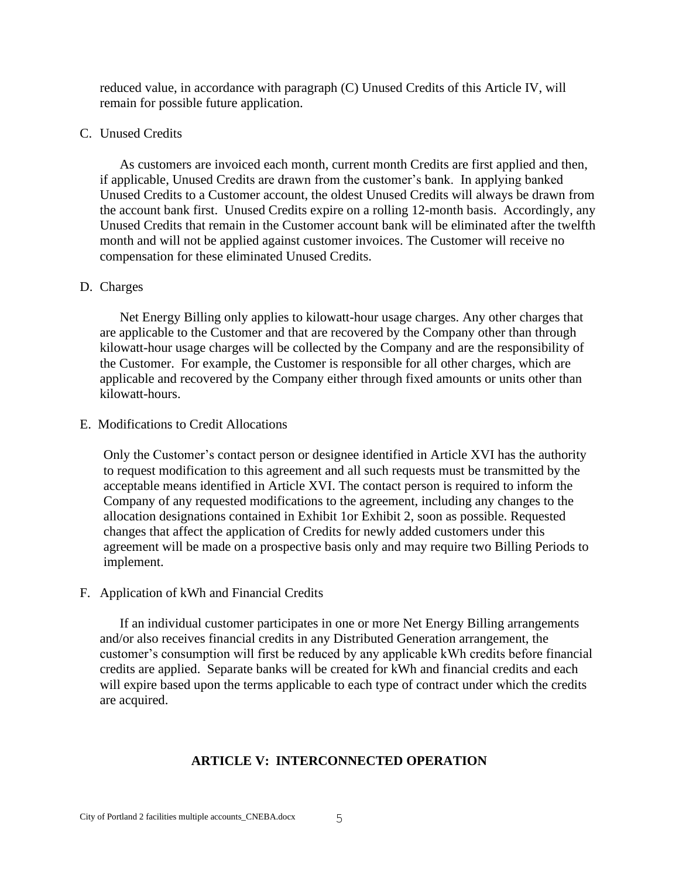reduced value, in accordance with paragraph (C) Unused Credits of this Article IV, will remain for possible future application.

# C. Unused Credits

As customers are invoiced each month, current month Credits are first applied and then, if applicable, Unused Credits are drawn from the customer's bank. In applying banked Unused Credits to a Customer account, the oldest Unused Credits will always be drawn from the account bank first. Unused Credits expire on a rolling 12-month basis. Accordingly, any Unused Credits that remain in the Customer account bank will be eliminated after the twelfth month and will not be applied against customer invoices. The Customer will receive no compensation for these eliminated Unused Credits.

# D. Charges

Net Energy Billing only applies to kilowatt-hour usage charges. Any other charges that are applicable to the Customer and that are recovered by the Company other than through kilowatt-hour usage charges will be collected by the Company and are the responsibility of the Customer. For example, the Customer is responsible for all other charges, which are applicable and recovered by the Company either through fixed amounts or units other than kilowatt-hours.

# E. Modifications to Credit Allocations

Only the Customer's contact person or designee identified in Article XVI has the authority to request modification to this agreement and all such requests must be transmitted by the acceptable means identified in Article XVI. The contact person is required to inform the Company of any requested modifications to the agreement, including any changes to the allocation designations contained in Exhibit 1or Exhibit 2, soon as possible. Requested changes that affect the application of Credits for newly added customers under this agreement will be made on a prospective basis only and may require two Billing Periods to implement.

# F. Application of kWh and Financial Credits

If an individual customer participates in one or more Net Energy Billing arrangements and/or also receives financial credits in any Distributed Generation arrangement, the customer's consumption will first be reduced by any applicable kWh credits before financial credits are applied. Separate banks will be created for kWh and financial credits and each will expire based upon the terms applicable to each type of contract under which the credits are acquired.

# **ARTICLE V: INTERCONNECTED OPERATION**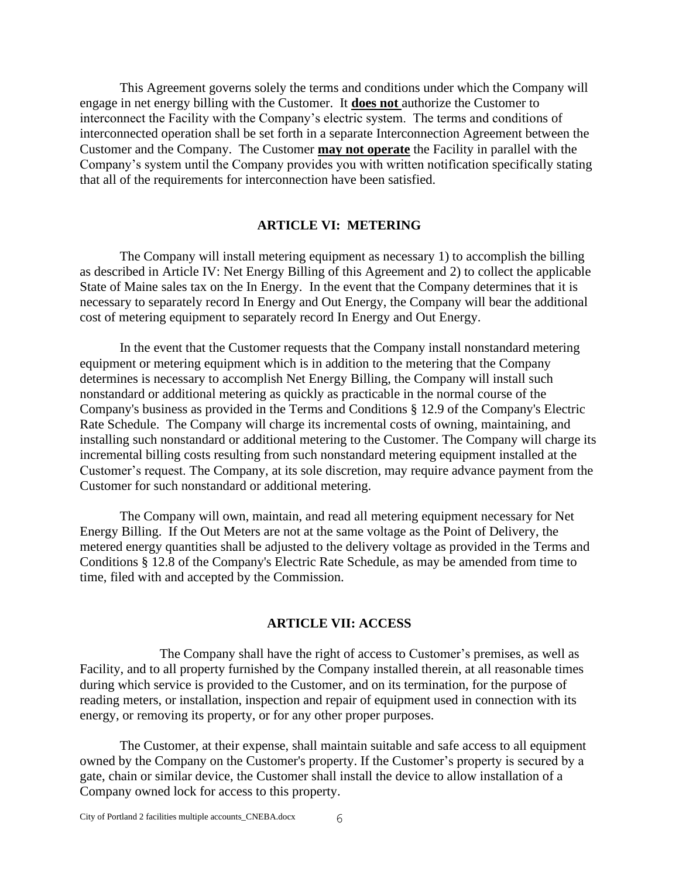This Agreement governs solely the terms and conditions under which the Company will engage in net energy billing with the Customer. It **does not** authorize the Customer to interconnect the Facility with the Company's electric system. The terms and conditions of interconnected operation shall be set forth in a separate Interconnection Agreement between the Customer and the Company. The Customer **may not operate** the Facility in parallel with the Company's system until the Company provides you with written notification specifically stating that all of the requirements for interconnection have been satisfied.

#### **ARTICLE VI: METERING**

The Company will install metering equipment as necessary 1) to accomplish the billing as described in Article IV: Net Energy Billing of this Agreement and 2) to collect the applicable State of Maine sales tax on the In Energy. In the event that the Company determines that it is necessary to separately record In Energy and Out Energy, the Company will bear the additional cost of metering equipment to separately record In Energy and Out Energy.

In the event that the Customer requests that the Company install nonstandard metering equipment or metering equipment which is in addition to the metering that the Company determines is necessary to accomplish Net Energy Billing, the Company will install such nonstandard or additional metering as quickly as practicable in the normal course of the Company's business as provided in the Terms and Conditions § 12.9 of the Company's Electric Rate Schedule. The Company will charge its incremental costs of owning, maintaining, and installing such nonstandard or additional metering to the Customer. The Company will charge its incremental billing costs resulting from such nonstandard metering equipment installed at the Customer's request. The Company, at its sole discretion, may require advance payment from the Customer for such nonstandard or additional metering.

The Company will own, maintain, and read all metering equipment necessary for Net Energy Billing. If the Out Meters are not at the same voltage as the Point of Delivery, the metered energy quantities shall be adjusted to the delivery voltage as provided in the Terms and Conditions § 12.8 of the Company's Electric Rate Schedule, as may be amended from time to time, filed with and accepted by the Commission.

#### **ARTICLE VII: ACCESS**

The Company shall have the right of access to Customer's premises, as well as Facility, and to all property furnished by the Company installed therein, at all reasonable times during which service is provided to the Customer, and on its termination, for the purpose of reading meters, or installation, inspection and repair of equipment used in connection with its energy, or removing its property, or for any other proper purposes.

The Customer, at their expense, shall maintain suitable and safe access to all equipment owned by the Company on the Customer's property. If the Customer's property is secured by a gate, chain or similar device, the Customer shall install the device to allow installation of a Company owned lock for access to this property.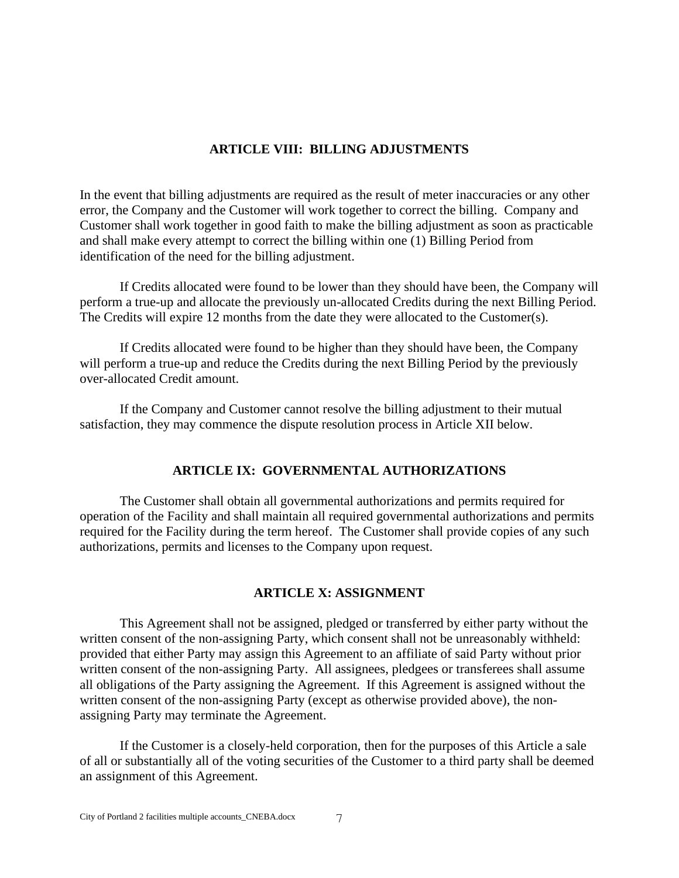# **ARTICLE VIII: BILLING ADJUSTMENTS**

In the event that billing adjustments are required as the result of meter inaccuracies or any other error, the Company and the Customer will work together to correct the billing. Company and Customer shall work together in good faith to make the billing adjustment as soon as practicable and shall make every attempt to correct the billing within one (1) Billing Period from identification of the need for the billing adjustment.

If Credits allocated were found to be lower than they should have been, the Company will perform a true-up and allocate the previously un-allocated Credits during the next Billing Period. The Credits will expire 12 months from the date they were allocated to the Customer(s).

If Credits allocated were found to be higher than they should have been, the Company will perform a true-up and reduce the Credits during the next Billing Period by the previously over-allocated Credit amount.

If the Company and Customer cannot resolve the billing adjustment to their mutual satisfaction, they may commence the dispute resolution process in Article XII below.

# **ARTICLE IX: GOVERNMENTAL AUTHORIZATIONS**

The Customer shall obtain all governmental authorizations and permits required for operation of the Facility and shall maintain all required governmental authorizations and permits required for the Facility during the term hereof. The Customer shall provide copies of any such authorizations, permits and licenses to the Company upon request.

# **ARTICLE X: ASSIGNMENT**

This Agreement shall not be assigned, pledged or transferred by either party without the written consent of the non-assigning Party, which consent shall not be unreasonably withheld: provided that either Party may assign this Agreement to an affiliate of said Party without prior written consent of the non-assigning Party. All assignees, pledgees or transferees shall assume all obligations of the Party assigning the Agreement. If this Agreement is assigned without the written consent of the non-assigning Party (except as otherwise provided above), the nonassigning Party may terminate the Agreement.

If the Customer is a closely-held corporation, then for the purposes of this Article a sale of all or substantially all of the voting securities of the Customer to a third party shall be deemed an assignment of this Agreement.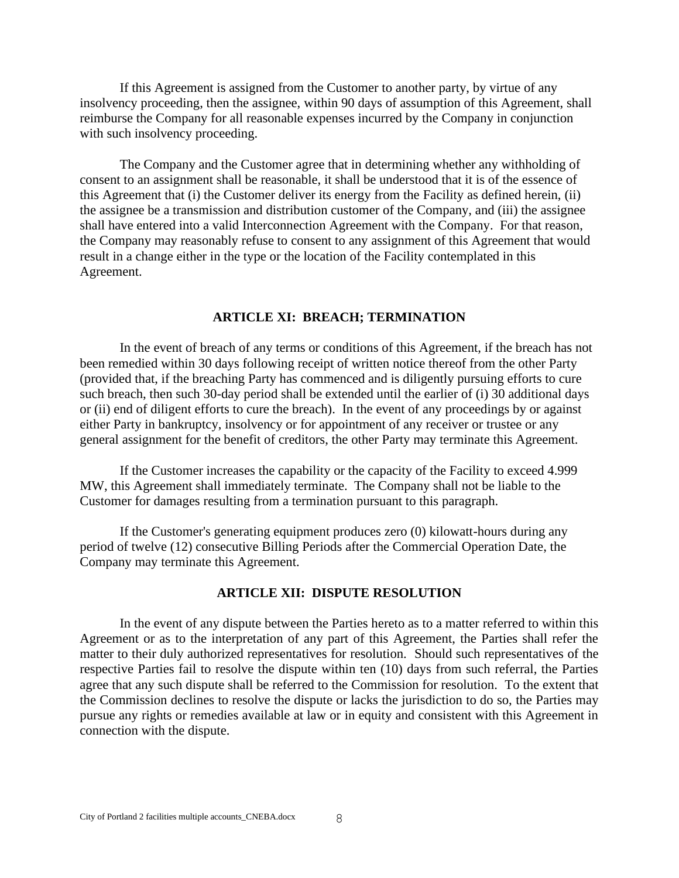If this Agreement is assigned from the Customer to another party, by virtue of any insolvency proceeding, then the assignee, within 90 days of assumption of this Agreement, shall reimburse the Company for all reasonable expenses incurred by the Company in conjunction with such insolvency proceeding.

The Company and the Customer agree that in determining whether any withholding of consent to an assignment shall be reasonable, it shall be understood that it is of the essence of this Agreement that (i) the Customer deliver its energy from the Facility as defined herein, (ii) the assignee be a transmission and distribution customer of the Company, and (iii) the assignee shall have entered into a valid Interconnection Agreement with the Company. For that reason, the Company may reasonably refuse to consent to any assignment of this Agreement that would result in a change either in the type or the location of the Facility contemplated in this Agreement.

#### **ARTICLE XI: BREACH; TERMINATION**

In the event of breach of any terms or conditions of this Agreement, if the breach has not been remedied within 30 days following receipt of written notice thereof from the other Party (provided that, if the breaching Party has commenced and is diligently pursuing efforts to cure such breach, then such 30-day period shall be extended until the earlier of (i) 30 additional days or (ii) end of diligent efforts to cure the breach). In the event of any proceedings by or against either Party in bankruptcy, insolvency or for appointment of any receiver or trustee or any general assignment for the benefit of creditors, the other Party may terminate this Agreement.

If the Customer increases the capability or the capacity of the Facility to exceed 4.999 MW, this Agreement shall immediately terminate. The Company shall not be liable to the Customer for damages resulting from a termination pursuant to this paragraph.

If the Customer's generating equipment produces zero (0) kilowatt-hours during any period of twelve (12) consecutive Billing Periods after the Commercial Operation Date, the Company may terminate this Agreement.

#### **ARTICLE XII: DISPUTE RESOLUTION**

In the event of any dispute between the Parties hereto as to a matter referred to within this Agreement or as to the interpretation of any part of this Agreement, the Parties shall refer the matter to their duly authorized representatives for resolution. Should such representatives of the respective Parties fail to resolve the dispute within ten (10) days from such referral, the Parties agree that any such dispute shall be referred to the Commission for resolution. To the extent that the Commission declines to resolve the dispute or lacks the jurisdiction to do so, the Parties may pursue any rights or remedies available at law or in equity and consistent with this Agreement in connection with the dispute.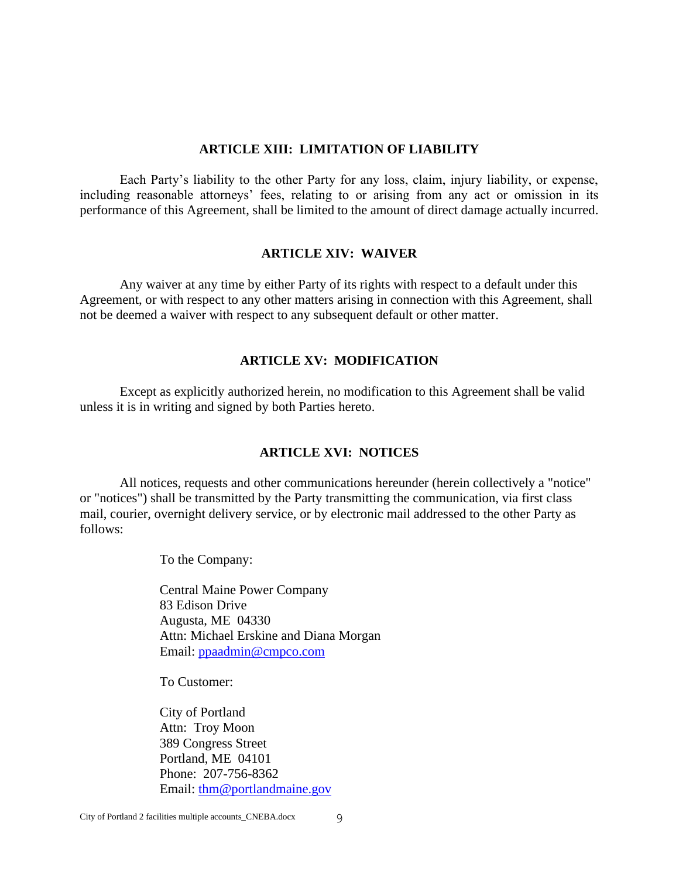### **ARTICLE XIII: LIMITATION OF LIABILITY**

Each Party's liability to the other Party for any loss, claim, injury liability, or expense, including reasonable attorneys' fees, relating to or arising from any act or omission in its performance of this Agreement, shall be limited to the amount of direct damage actually incurred.

### **ARTICLE XIV: WAIVER**

Any waiver at any time by either Party of its rights with respect to a default under this Agreement, or with respect to any other matters arising in connection with this Agreement, shall not be deemed a waiver with respect to any subsequent default or other matter.

### **ARTICLE XV: MODIFICATION**

Except as explicitly authorized herein, no modification to this Agreement shall be valid unless it is in writing and signed by both Parties hereto.

### **ARTICLE XVI: NOTICES**

All notices, requests and other communications hereunder (herein collectively a "notice" or "notices") shall be transmitted by the Party transmitting the communication, via first class mail, courier, overnight delivery service, or by electronic mail addressed to the other Party as follows:

To the Company:

Central Maine Power Company 83 Edison Drive Augusta, ME 04330 Attn: Michael Erskine and Diana Morgan Email: [ppaadmin@cmpco.com](mailto:ppaadmin@cmpco.com)

To Customer:

City of Portland Attn: Troy Moon 389 Congress Street Portland, ME 04101 Phone: 207-756-8362 Email: [thm@portlandmaine.gov](mailto:thm@portlandmaine.gov)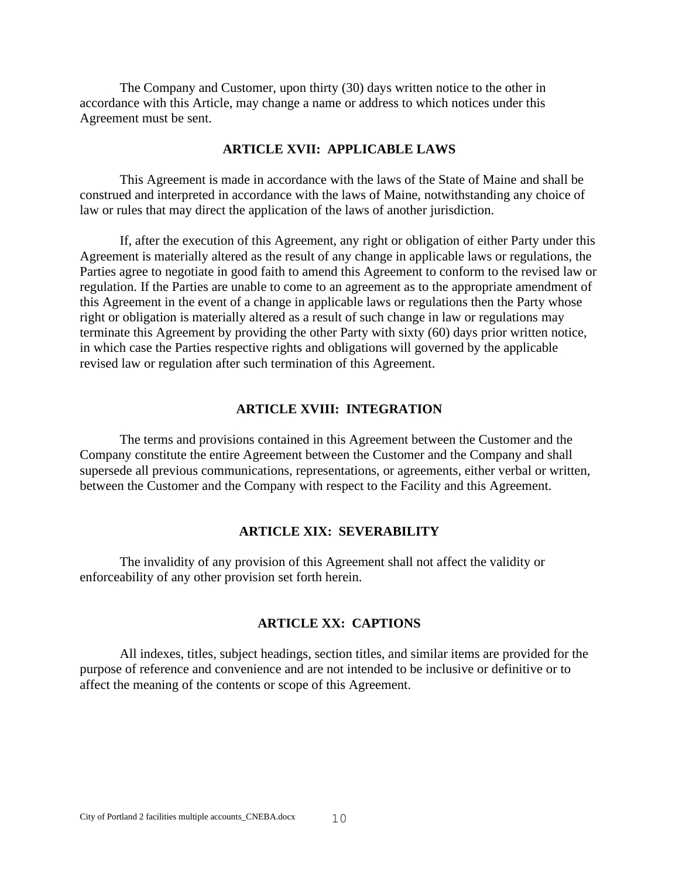The Company and Customer, upon thirty (30) days written notice to the other in accordance with this Article, may change a name or address to which notices under this Agreement must be sent.

#### **ARTICLE XVII: APPLICABLE LAWS**

This Agreement is made in accordance with the laws of the State of Maine and shall be construed and interpreted in accordance with the laws of Maine, notwithstanding any choice of law or rules that may direct the application of the laws of another jurisdiction.

If, after the execution of this Agreement, any right or obligation of either Party under this Agreement is materially altered as the result of any change in applicable laws or regulations, the Parties agree to negotiate in good faith to amend this Agreement to conform to the revised law or regulation. If the Parties are unable to come to an agreement as to the appropriate amendment of this Agreement in the event of a change in applicable laws or regulations then the Party whose right or obligation is materially altered as a result of such change in law or regulations may terminate this Agreement by providing the other Party with sixty (60) days prior written notice, in which case the Parties respective rights and obligations will governed by the applicable revised law or regulation after such termination of this Agreement.

## **ARTICLE XVIII: INTEGRATION**

The terms and provisions contained in this Agreement between the Customer and the Company constitute the entire Agreement between the Customer and the Company and shall supersede all previous communications, representations, or agreements, either verbal or written, between the Customer and the Company with respect to the Facility and this Agreement.

#### **ARTICLE XIX: SEVERABILITY**

The invalidity of any provision of this Agreement shall not affect the validity or enforceability of any other provision set forth herein.

# **ARTICLE XX: CAPTIONS**

All indexes, titles, subject headings, section titles, and similar items are provided for the purpose of reference and convenience and are not intended to be inclusive or definitive or to affect the meaning of the contents or scope of this Agreement.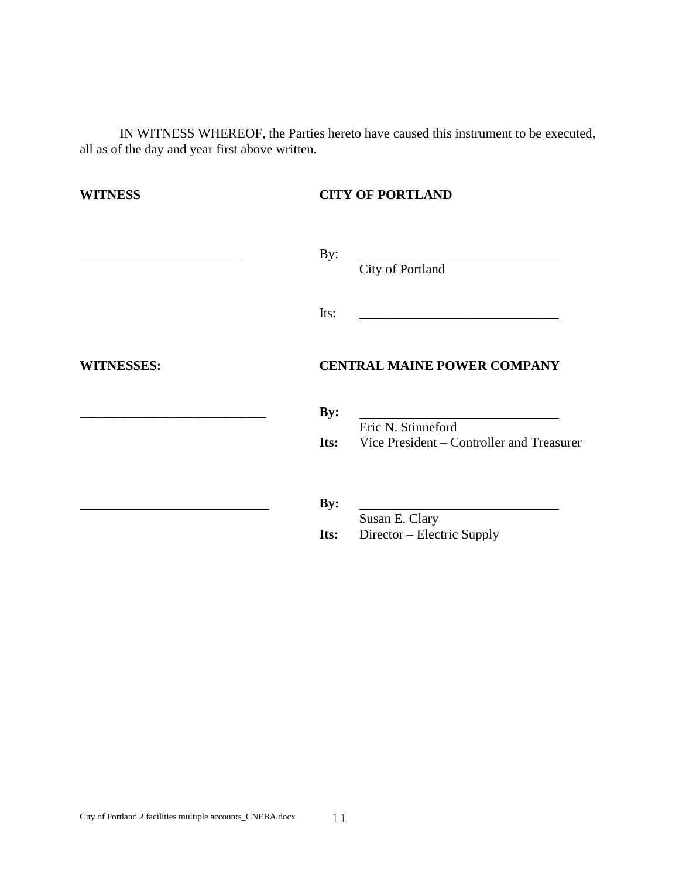IN WITNESS WHEREOF, the Parties hereto have caused this instrument to be executed, all as of the day and year first above written.

| <b>WITNESS</b>    | <b>CITY OF PORTLAND</b>                                                            |  |  |
|-------------------|------------------------------------------------------------------------------------|--|--|
|                   | By:<br>City of Portland                                                            |  |  |
|                   | Its:                                                                               |  |  |
| <b>WITNESSES:</b> | <b>CENTRAL MAINE POWER COMPANY</b>                                                 |  |  |
|                   | By:<br>Eric N. Stinneford<br><b>Its:</b> Vice President – Controller and Treasurer |  |  |
|                   | By:<br>Susan E. Clary                                                              |  |  |
|                   | Director – Electric Supply<br>Its:                                                 |  |  |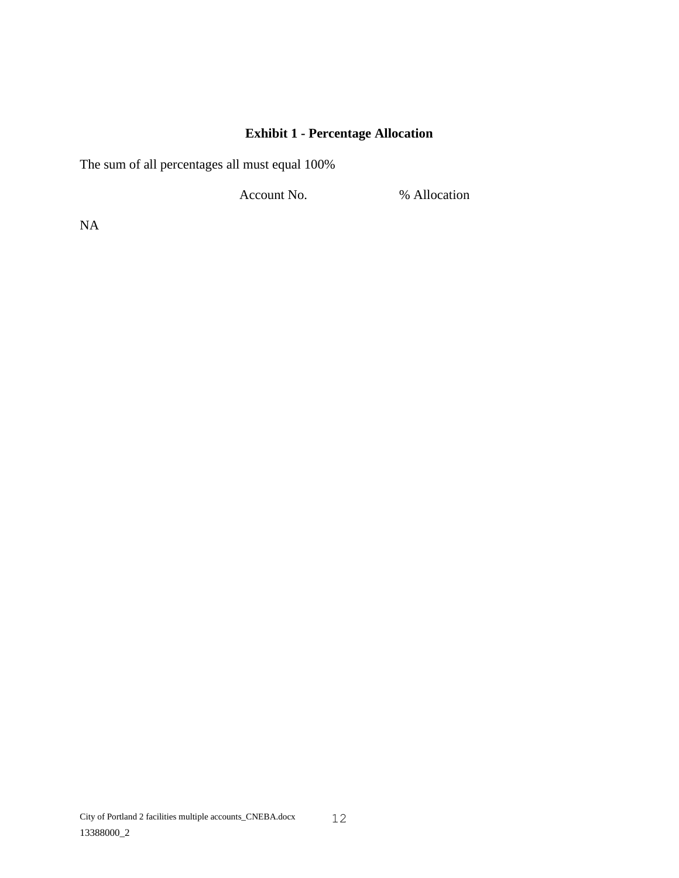# **Exhibit 1 - Percentage Allocation**

The sum of all percentages all must equal 100%

Account No.  $\%$  Allocation

NA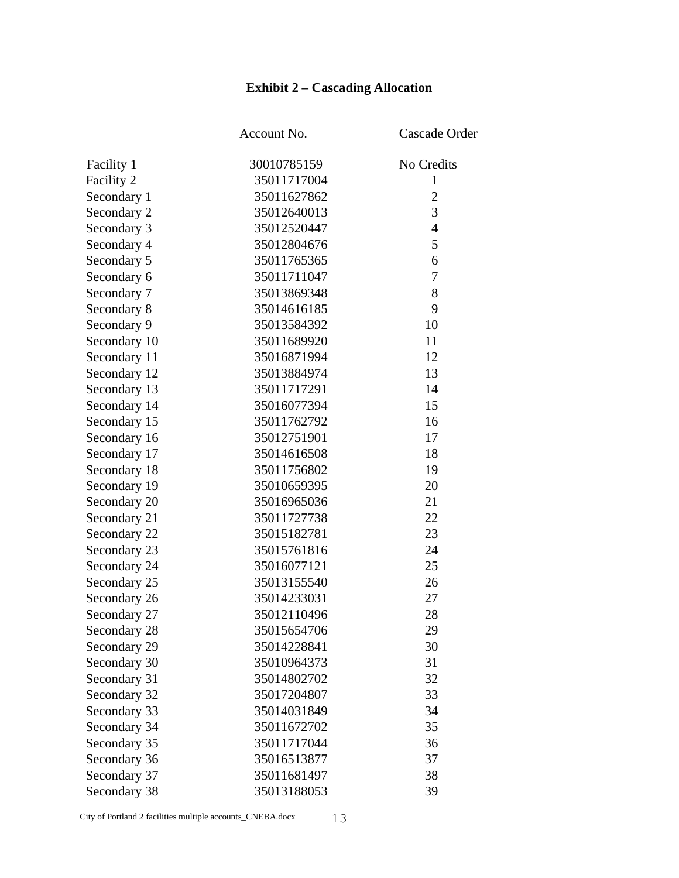# **Exhibit 2 – Cascading Allocation**

|              | Account No. | Cascade Order  |
|--------------|-------------|----------------|
| Facility 1   | 30010785159 | No Credits     |
| Facility 2   | 35011717004 | 1              |
| Secondary 1  | 35011627862 | $\overline{2}$ |
| Secondary 2  | 35012640013 | 3              |
| Secondary 3  | 35012520447 | $\overline{4}$ |
| Secondary 4  | 35012804676 | 5              |
| Secondary 5  | 35011765365 | 6              |
| Secondary 6  | 35011711047 | $\tau$         |
| Secondary 7  | 35013869348 | 8              |
| Secondary 8  | 35014616185 | 9              |
| Secondary 9  | 35013584392 | 10             |
| Secondary 10 | 35011689920 | 11             |
| Secondary 11 | 35016871994 | 12             |
| Secondary 12 | 35013884974 | 13             |
| Secondary 13 | 35011717291 | 14             |
| Secondary 14 | 35016077394 | 15             |
| Secondary 15 | 35011762792 | 16             |
| Secondary 16 | 35012751901 | 17             |
| Secondary 17 | 35014616508 | 18             |
| Secondary 18 | 35011756802 | 19             |
| Secondary 19 | 35010659395 | 20             |
| Secondary 20 | 35016965036 | 21             |
| Secondary 21 | 35011727738 | 22             |
| Secondary 22 | 35015182781 | 23             |
| Secondary 23 | 35015761816 | 24             |
| Secondary 24 | 35016077121 | 25             |
| Secondary 25 | 35013155540 | 26             |
| Secondary 26 | 35014233031 | 27             |
| Secondary 27 | 35012110496 | 28             |
| Secondary 28 | 35015654706 | 29             |
| Secondary 29 | 35014228841 | 30             |
| Secondary 30 | 35010964373 | 31             |
| Secondary 31 | 35014802702 | 32             |
| Secondary 32 | 35017204807 | 33             |
| Secondary 33 | 35014031849 | 34             |
| Secondary 34 | 35011672702 | 35             |
| Secondary 35 | 35011717044 | 36             |
| Secondary 36 | 35016513877 | 37             |
| Secondary 37 | 35011681497 | 38             |
| Secondary 38 | 35013188053 | 39             |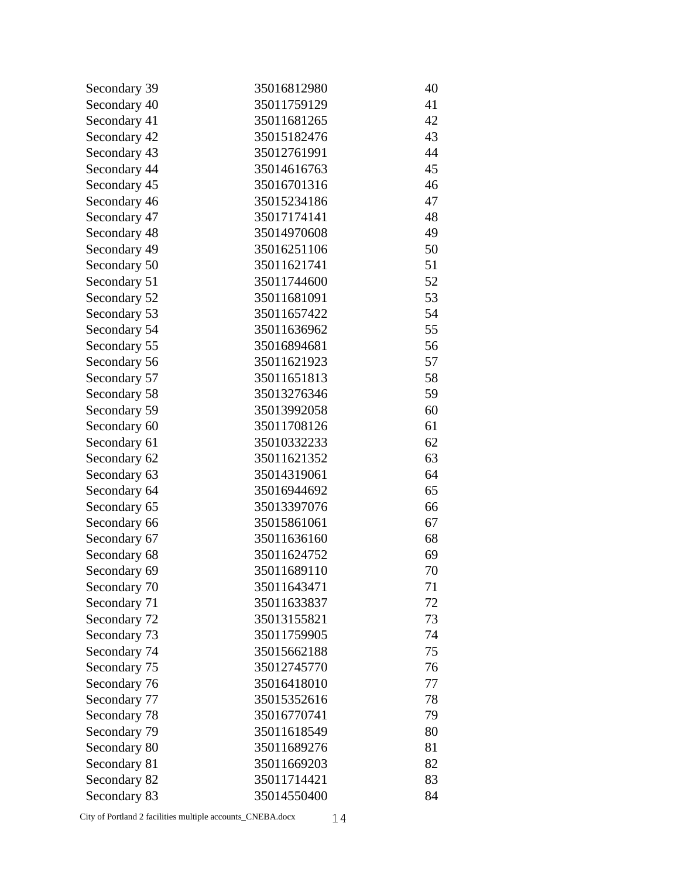| Secondary 39 | 35016812980 | 40 |
|--------------|-------------|----|
| Secondary 40 | 35011759129 | 41 |
| Secondary 41 | 35011681265 | 42 |
| Secondary 42 | 35015182476 | 43 |
| Secondary 43 | 35012761991 | 44 |
| Secondary 44 | 35014616763 | 45 |
| Secondary 45 | 35016701316 | 46 |
| Secondary 46 | 35015234186 | 47 |
| Secondary 47 | 35017174141 | 48 |
| Secondary 48 | 35014970608 | 49 |
| Secondary 49 | 35016251106 | 50 |
| Secondary 50 | 35011621741 | 51 |
| Secondary 51 | 35011744600 | 52 |
| Secondary 52 | 35011681091 | 53 |
| Secondary 53 | 35011657422 | 54 |
| Secondary 54 | 35011636962 | 55 |
| Secondary 55 | 35016894681 | 56 |
| Secondary 56 | 35011621923 | 57 |
| Secondary 57 | 35011651813 | 58 |
| Secondary 58 | 35013276346 | 59 |
| Secondary 59 | 35013992058 | 60 |
| Secondary 60 | 35011708126 | 61 |
| Secondary 61 | 35010332233 | 62 |
| Secondary 62 | 35011621352 | 63 |
| Secondary 63 | 35014319061 | 64 |
| Secondary 64 | 35016944692 | 65 |
| Secondary 65 | 35013397076 | 66 |
| Secondary 66 | 35015861061 | 67 |
| Secondary 67 | 35011636160 | 68 |
| Secondary 68 | 35011624752 | 69 |
| Secondary 69 | 35011689110 | 70 |
| Secondary 70 | 35011643471 | 71 |
| Secondary 71 | 35011633837 | 72 |
| Secondary 72 | 35013155821 | 73 |
| Secondary 73 | 35011759905 | 74 |
| Secondary 74 | 35015662188 | 75 |
| Secondary 75 | 35012745770 | 76 |
| Secondary 76 | 35016418010 | 77 |
| Secondary 77 | 35015352616 | 78 |
| Secondary 78 | 35016770741 | 79 |
| Secondary 79 | 35011618549 | 80 |
| Secondary 80 | 35011689276 | 81 |
| Secondary 81 | 35011669203 | 82 |
| Secondary 82 | 35011714421 | 83 |
| Secondary 83 | 35014550400 | 84 |

City of Portland 2 facilities multiple accounts\_CNEBA.docx 14